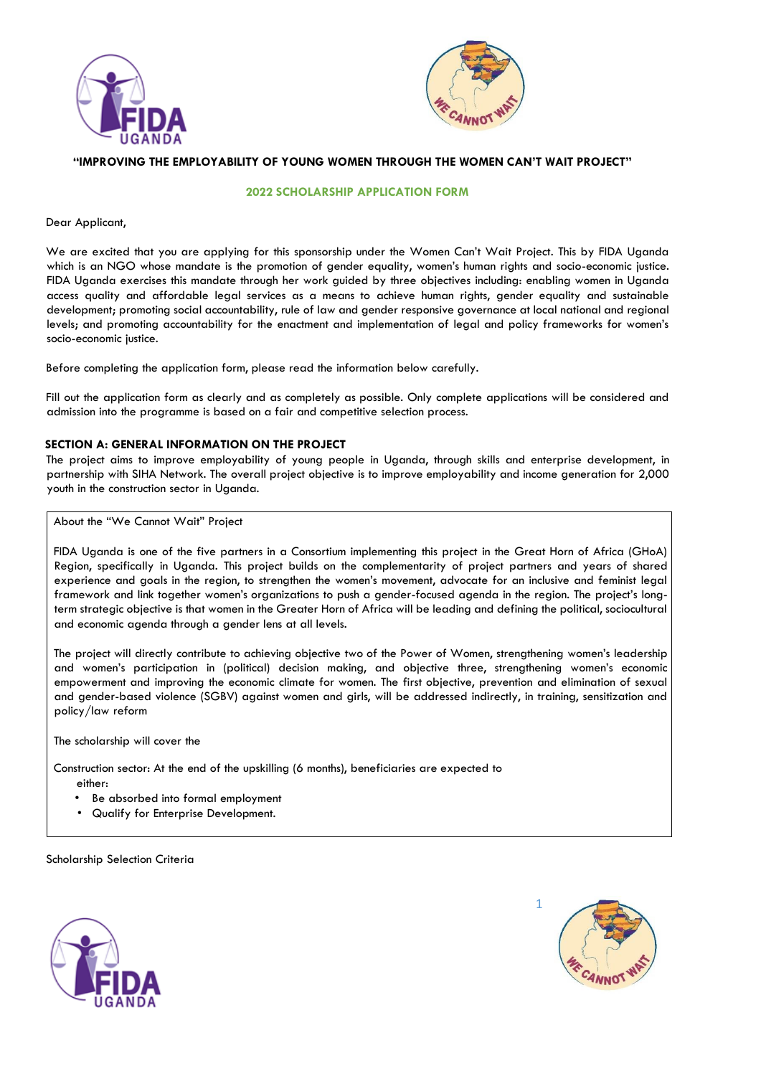



# **"IMPROVING THE EMPLOYABILITY OF YOUNG WOMEN THROUGH THE WOMEN CAN'T WAIT PROJECT"**

### **2022 SCHOLARSHIP APPLICATION FORM**

#### Dear Applicant,

We are excited that you are applying for this sponsorship under the Women Can't Wait Project. This by FIDA Uganda which is an NGO whose mandate is the promotion of gender equality, women's human rights and socio-economic justice. FIDA Uganda exercises this mandate through her work guided by three objectives including: enabling women in Uganda access quality and affordable legal services as a means to achieve human rights, gender equality and sustainable development; promoting social accountability, rule of law and gender responsive governance at local national and regional levels; and promoting accountability for the enactment and implementation of legal and policy frameworks for women's socio-economic justice.

Before completing the application form, please read the information below carefully.

Fill out the application form as clearly and as completely as possible. Only complete applications will be considered and admission into the programme is based on a fair and competitive selection process.

### **SECTION A: GENERAL INFORMATION ON THE PROJECT**

The project aims to improve employability of young people in Uganda, through skills and enterprise development, in partnership with SIHA Network. The overall project objective is to improve employability and income generation for 2,000 youth in the construction sector in Uganda.

#### About the "We Cannot Wait" Project

FIDA Uganda is one of the five partners in a Consortium implementing this project in the Great Horn of Africa (GHoA) Region, specifically in Uganda. This project builds on the complementarity of project partners and years of shared experience and goals in the region, to strengthen the women's movement, advocate for an inclusive and feminist legal framework and link together women's organizations to push a gender-focused agenda in the region. The project's longterm strategic objective is that women in the Greater Horn of Africa will be leading and defining the political, sociocultural and economic agenda through a gender lens at all levels.

The project will directly contribute to achieving objective two of the Power of Women, strengthening women's leadership and women's participation in (political) decision making, and objective three, strengthening women's economic empowerment and improving the economic climate for women. The first objective, prevention and elimination of sexual and gender-based violence (SGBV) against women and girls, will be addressed indirectly, in training, sensitization and policy/law reform

The scholarship will cover the

Construction sector: At the end of the upskilling (6 months), beneficiaries are expected to either:

- Be absorbed into formal employment
- Qualify for Enterprise Development.

Scholarship Selection Criteria



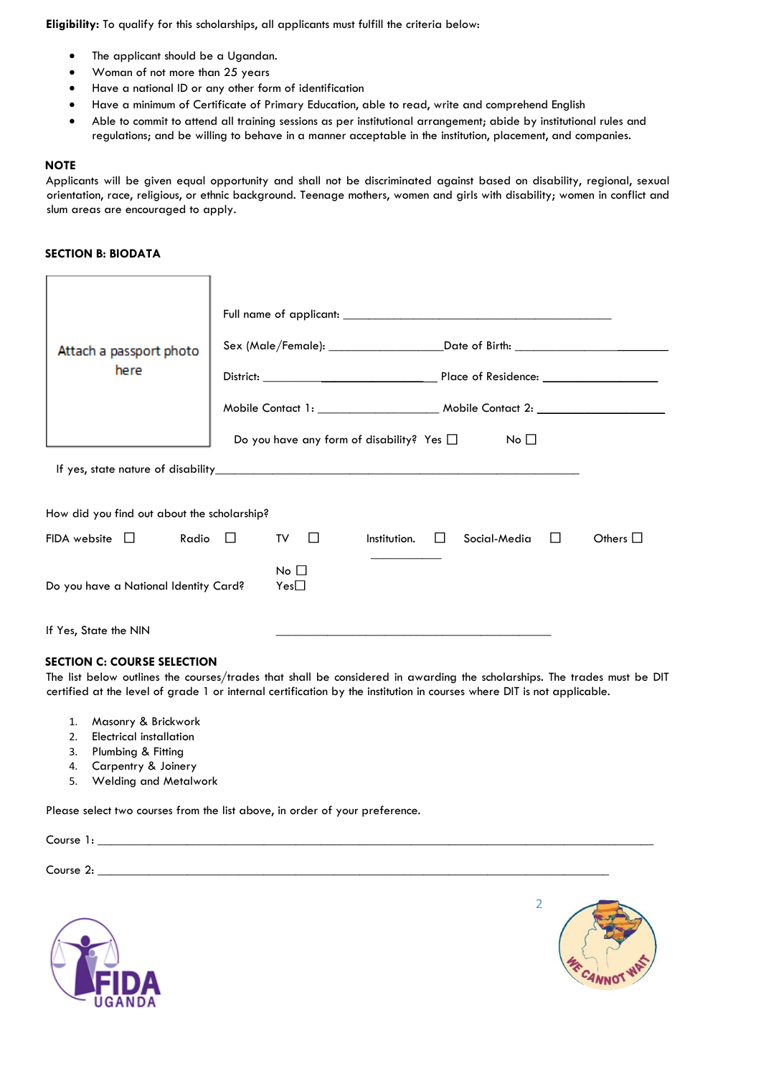**Eligibility:** To qualify for this scholarships, all applicants must fulfill the criteria below:

- The applicant should be a Ugandan.
- Woman of not more than 25 years
- Have a national ID or any other form of identification
- Have a minimum of Certificate of Primary Education, able to read, write and comprehend English
- Able to commit to attend all training sessions as per institutional arrangement; abide by institutional rules and regulations; and be willing to behave in a manner acceptable in the institution, placement, and companies.

#### **NOTE**

Applicants will be given equal opportunity and shall not be discriminated against based on disability, regional, sexual orientation, race, religious, or ethnic background. Teenage mothers, women and girls with disability; women in conflict and slum areas are encouraged to apply.

#### **SECTION B: BIODATA**

| Attach a passport photo<br>here             |                                                | Sex (Male/Female): ____________________________Date of Birth: __________________ |               |
|---------------------------------------------|------------------------------------------------|----------------------------------------------------------------------------------|---------------|
|                                             |                                                |                                                                                  |               |
|                                             |                                                |                                                                                  |               |
|                                             | Do you have any form of disability? Yes $\Box$ | No <sub>1</sub>                                                                  |               |
|                                             |                                                |                                                                                  |               |
| How did you find out about the scholarship? |                                                |                                                                                  |               |
| Radio $\Box$<br>$FIDA$ website $\Box$       | TV<br>$\perp$                                  | Institution.<br>Social-Media                                                     | Others $\Box$ |
| Do you have a National Identity Card?       | No <sub>1</sub><br>$Yes\square$                |                                                                                  |               |
| If Yes, State the NIN                       |                                                |                                                                                  |               |

### **SECTION C: COURSE SELECTION**

The list below outlines the courses/trades that shall be considered in awarding the scholarships. The trades must be DIT certified at the level of grade 1 or internal certification by the institution in courses where DIT is not applicable.

- 1. Masonry & Brickwork
- 2. Electrical installation
- 3. Plumbing & Fitting
- 4. Carpentry & Joinery
- 5. Welding and Metalwork

Please select two courses from the list above, in order of your preference.

Course 1:

Course 2: \_\_\_\_\_\_\_\_\_\_\_\_\_\_\_\_\_\_\_\_\_\_\_\_\_\_\_\_\_\_\_\_\_\_\_\_\_\_\_\_\_\_\_\_\_\_\_\_\_\_\_\_\_\_\_\_\_\_\_\_\_\_\_\_\_\_\_\_\_\_\_\_\_\_\_\_\_\_\_\_



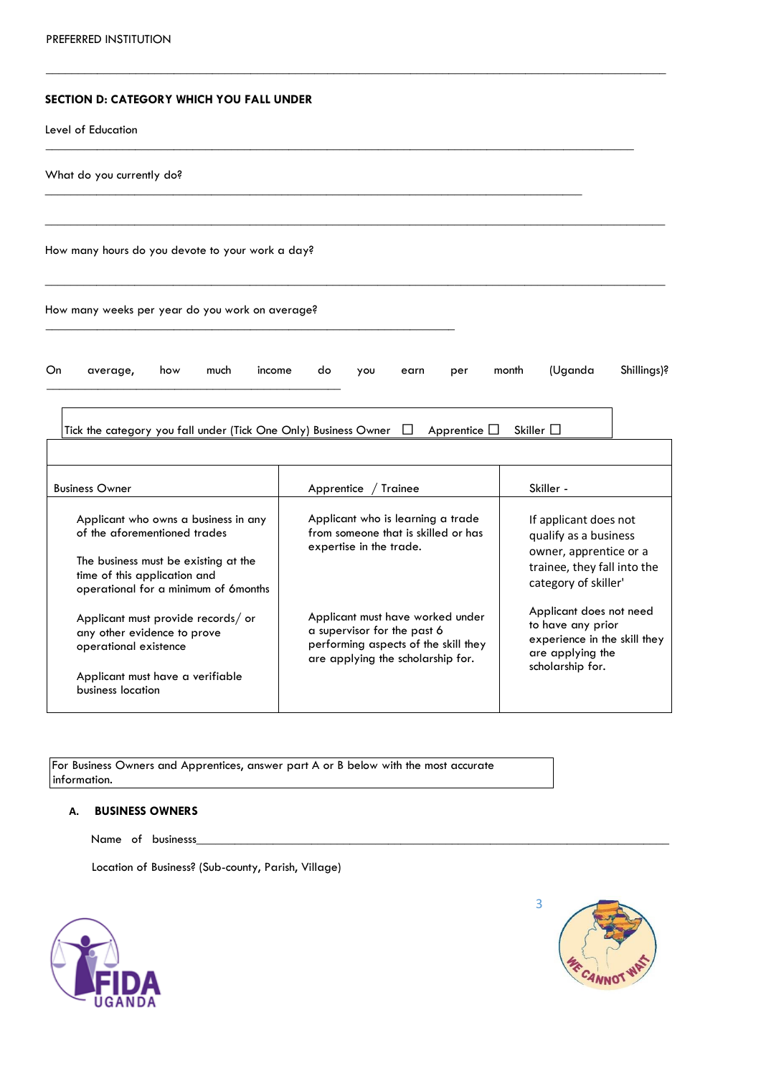### **SECTION D: CATEGORY WHICH YOU FALL UNDER**

Level of Education

| What do you currently do?                                                                                                                                                            |                                                                                                                                              |                                                                                                                                 |  |  |  |
|--------------------------------------------------------------------------------------------------------------------------------------------------------------------------------------|----------------------------------------------------------------------------------------------------------------------------------------------|---------------------------------------------------------------------------------------------------------------------------------|--|--|--|
| How many hours do you devote to your work a day?                                                                                                                                     |                                                                                                                                              |                                                                                                                                 |  |  |  |
| How many weeks per year do you work on average?                                                                                                                                      |                                                                                                                                              |                                                                                                                                 |  |  |  |
| Shillings)?<br>(Uganda<br>On<br>much<br>income<br>month<br>how<br>do<br>average,<br>you<br>earn<br>per                                                                               |                                                                                                                                              |                                                                                                                                 |  |  |  |
| Skiller $\square$<br>Tick the category you fall under (Tick One Only) Business Owner<br>Apprentice $\Box$<br>$\perp$                                                                 |                                                                                                                                              |                                                                                                                                 |  |  |  |
| <b>Business Owner</b>                                                                                                                                                                | Trainee<br>Apprentice                                                                                                                        | Skiller -                                                                                                                       |  |  |  |
| Applicant who owns a business in any<br>of the aforementioned trades<br>The business must be existing at the<br>time of this application and<br>operational for a minimum of 6months | Applicant who is learning a trade<br>from someone that is skilled or has<br>expertise in the trade.                                          | If applicant does not<br>qualify as a business<br>owner, apprentice or a<br>trainee, they fall into the<br>category of skiller' |  |  |  |
| Applicant must provide records/ or<br>any other evidence to prove<br>operational existence<br>Applicant must have a verifiable<br>business location                                  | Applicant must have worked under<br>a supervisor for the past 6<br>performing aspects of the skill they<br>are applying the scholarship for. | Applicant does not need<br>to have any prior<br>experience in the skill they<br>are applying the<br>scholarship for.            |  |  |  |

 $\_$  ,  $\_$  ,  $\_$  ,  $\_$  ,  $\_$  ,  $\_$  ,  $\_$  ,  $\_$  ,  $\_$  ,  $\_$  ,  $\_$  ,  $\_$  ,  $\_$  ,  $\_$  ,  $\_$  ,  $\_$  ,  $\_$  ,  $\_$  ,  $\_$  ,  $\_$  ,  $\_$  ,  $\_$  ,  $\_$  ,  $\_$  ,  $\_$  ,  $\_$  ,  $\_$  ,  $\_$  ,  $\_$  ,  $\_$  ,  $\_$  ,  $\_$  ,  $\_$  ,  $\_$  ,  $\_$  ,  $\_$  ,  $\_$  ,

For Business Owners and Apprentices, answer part A or B below with the most accurate information.

## **A. BUSINESS OWNERS**

Name of businesss

Location of Business? (Sub-county, Parish, Village)



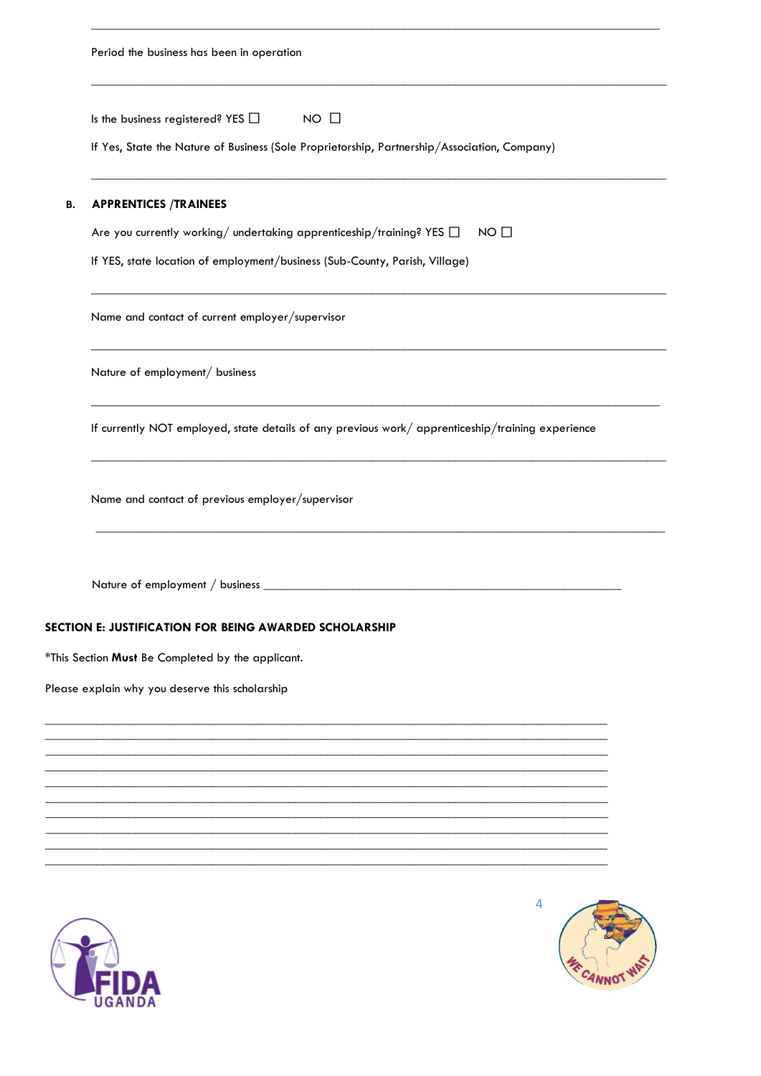|    | Period the business has been in operation                                                                                                             |  |  |  |
|----|-------------------------------------------------------------------------------------------------------------------------------------------------------|--|--|--|
|    | Is the business registered? YES $\Box$<br>$NO$ $\Box$<br>If Yes, State the Nature of Business (Sole Proprietorship, Partnership/Association, Company) |  |  |  |
| В. | <b>APPRENTICES /TRAINEES</b><br>Are you currently working/ undertaking apprenticeship/training? YES $\Box$<br>NO <sub>1</sub>                         |  |  |  |
|    |                                                                                                                                                       |  |  |  |
|    | If YES, state location of employment/business (Sub-County, Parish, Village)                                                                           |  |  |  |
|    | Name and contact of current employer/supervisor                                                                                                       |  |  |  |
|    | Nature of employment/ business                                                                                                                        |  |  |  |
|    | If currently NOT employed, state details of any previous work/ apprenticeship/training experience                                                     |  |  |  |
|    | Name and contact of previous employer/supervisor                                                                                                      |  |  |  |
|    | Nature of employment / business _                                                                                                                     |  |  |  |
|    | SECTION E: JUSTIFICATION FOR BEING AWARDED SCHOLARSHIP                                                                                                |  |  |  |
|    | *This Section Must Be Completed by the applicant.                                                                                                     |  |  |  |
|    | Please explain why you deserve this scholarship                                                                                                       |  |  |  |
|    |                                                                                                                                                       |  |  |  |
|    |                                                                                                                                                       |  |  |  |
|    |                                                                                                                                                       |  |  |  |
|    |                                                                                                                                                       |  |  |  |
|    |                                                                                                                                                       |  |  |  |



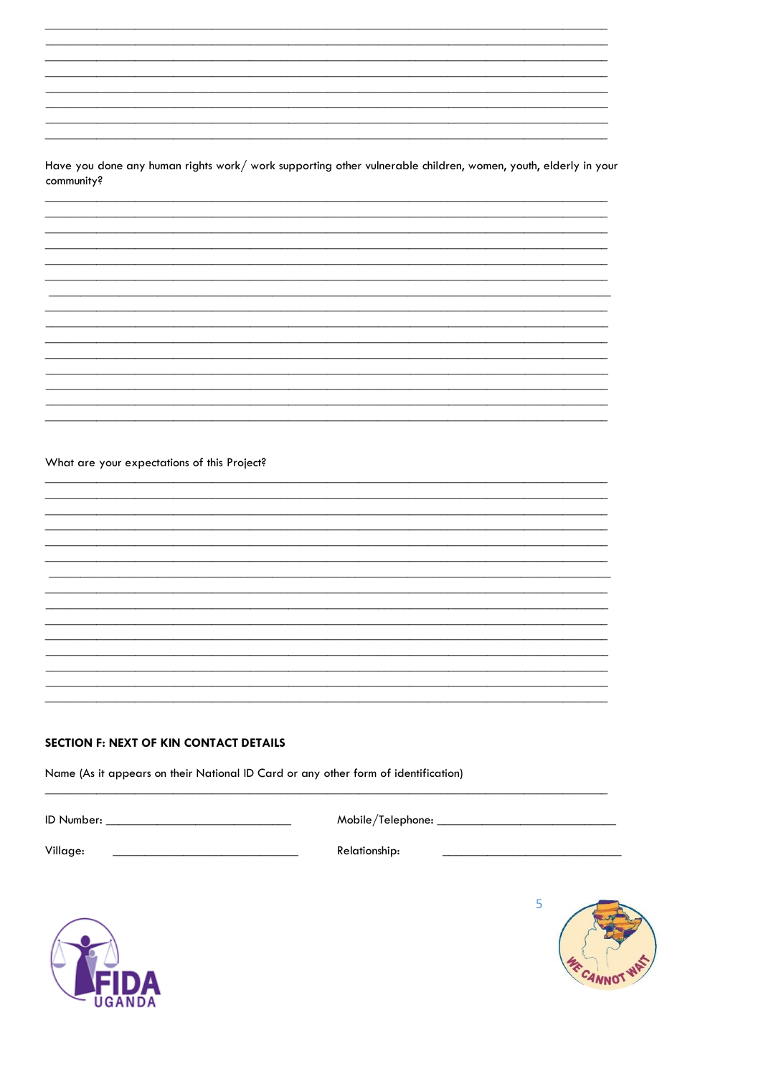Have you done any human rights work/ work supporting other vulnerable children, women, youth, elderly in your community?

What are your expectations of this Project?

#### **SECTION F: NEXT OF KIN CONTACT DETAILS**

Name (As it appears on their National ID Card or any other form of identification)

ID Number:

Mobile/Telephone: \_\_

Village:

Relationship: